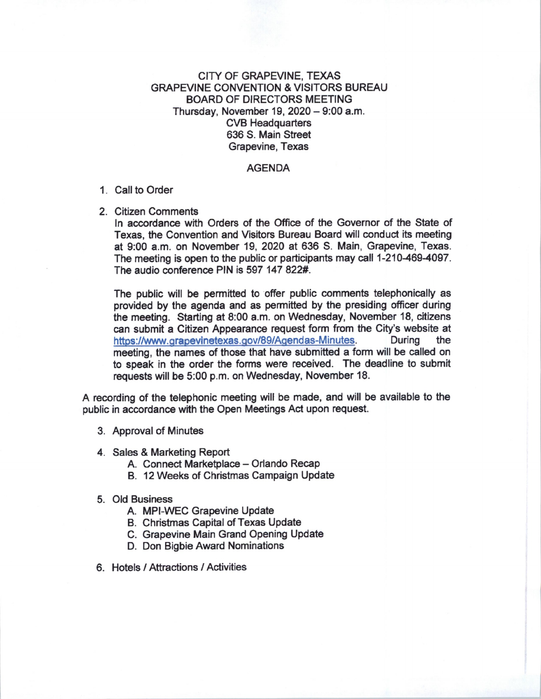## CITY OF GRAPEVINE, TEXAS GRAPEVINE CONVENTION & VISITORS BUREAU BOARD OF DIRECTORS MEETING Thursday, November  $19, 2020 - 9:00$  a.m. CVB Headquarters 636 S. Main Street Grapevine, Texas

## AGENDA

## 1. Call to Order

2. Citizen Comments

In accordance with Orders of the Office of the Governor of the State of Texas, the Convention and Visitors Bureau Board will conduct its meeting at 9:00 a.m. on November 19, 2020 at 636 S. Main, Grapevine, Texas. The meeting is open to the public or participants may call 1-210-469-4097. The audio conference PIN is 597 147 822#.

The public will be permitted to offer public comments telephonically as provided by the agenda and as permitted by the presiding officer during the meeting. Starting at 8:00 a.m. on Wednesday, November 18, citizens can submit a Citizen Appearance request form from the City's website at https://www.grapevinetexas.gov/89/Agendas-Minutes. During the https://www.grapevinetexas.gov/89/Agendas-Minutes. meeting, the names of those that have submitted a form will be called on to speak in the order the forms were received. The deadline to submit requests will be 5:00 p.m. on Wednesday, November 18.

A recording of the telephonic meeting will be made, and will be available to the public in accordance with the Open Meetings Act upon request.

- 3. Approval of Minutes
- 4. Sales & Marketing Report
	- A. Connect Marketplace Orlando Recap
	- B. 12 Weeks of Christmas Campaign Update
- 5. Old Business
	- A. MPI-WEC Grapevine Update
	- B. Christmas Capital of Texas Update
	- C. Grapevine Main Grand Opening Update
	- D. Don Bigbie Award Nominations
- 6. Hotels/ Attractions / Activities